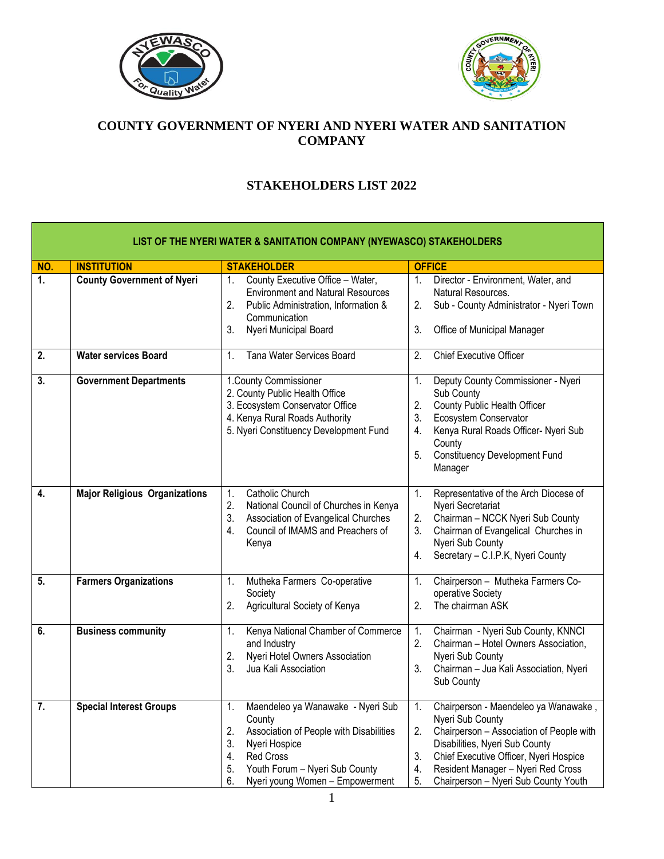



## **COUNTY GOVERNMENT OF NYERI AND NYERI WATER AND SANITATION COMPANY**

## **STAKEHOLDERS LIST 2022**

| LIST OF THE NYERI WATER & SANITATION COMPANY (NYEWASCO) STAKEHOLDERS |                                      |                                                                                                                                                                                                                                      |                                                                                                                                                                                                                                                                                              |  |
|----------------------------------------------------------------------|--------------------------------------|--------------------------------------------------------------------------------------------------------------------------------------------------------------------------------------------------------------------------------------|----------------------------------------------------------------------------------------------------------------------------------------------------------------------------------------------------------------------------------------------------------------------------------------------|--|
| NO.                                                                  | <b>INSTITUTION</b>                   | <b>STAKEHOLDER</b>                                                                                                                                                                                                                   | <b>OFFICE</b>                                                                                                                                                                                                                                                                                |  |
| 1.                                                                   | <b>County Government of Nyeri</b>    | County Executive Office - Water,<br>1.<br><b>Environment and Natural Resources</b><br>2.<br>Public Administration, Information &<br>Communication<br>3.<br>Nyeri Municipal Board                                                     | Director - Environment, Water, and<br>1.<br>Natural Resources.<br>Sub - County Administrator - Nyeri Town<br>2.<br>3.<br>Office of Municipal Manager                                                                                                                                         |  |
| $\overline{2}$ .                                                     | <b>Water services Board</b>          | Tana Water Services Board<br>1.                                                                                                                                                                                                      | <b>Chief Executive Officer</b><br>2.                                                                                                                                                                                                                                                         |  |
| $\overline{3}$ .                                                     | <b>Government Departments</b>        | 1. County Commissioner<br>2. County Public Health Office<br>3. Ecosystem Conservator Office<br>4. Kenya Rural Roads Authority<br>5. Nyeri Constituency Development Fund                                                              | Deputy County Commissioner - Nyeri<br>1.<br>Sub County<br>2.<br>County Public Health Officer<br>3.<br>Ecosystem Conservator<br>Kenya Rural Roads Officer- Nyeri Sub<br>4.<br>County<br>5.<br><b>Constituency Development Fund</b><br>Manager                                                 |  |
| 4.                                                                   | <b>Major Religious Organizations</b> | Catholic Church<br>1.<br>National Council of Churches in Kenya<br>2.<br>3.<br>Association of Evangelical Churches<br>Council of IMAMS and Preachers of<br>4.<br>Kenya                                                                | Representative of the Arch Diocese of<br>1.<br>Nyeri Secretariat<br>2.<br>Chairman - NCCK Nyeri Sub County<br>3.<br>Chairman of Evangelical Churches in<br>Nyeri Sub County<br>Secretary - C.I.P.K, Nyeri County<br>4.                                                                       |  |
| 5.                                                                   | <b>Farmers Organizations</b>         | Mutheka Farmers Co-operative<br>1.<br>Society<br>2.<br>Agricultural Society of Kenya                                                                                                                                                 | Chairperson - Mutheka Farmers Co-<br>1.<br>operative Society<br>2.<br>The chairman ASK                                                                                                                                                                                                       |  |
| 6.                                                                   | <b>Business community</b>            | Kenya National Chamber of Commerce<br>1.<br>and Industry<br>2.<br>Nyeri Hotel Owners Association<br>3.<br>Jua Kali Association                                                                                                       | Chairman - Nyeri Sub County, KNNCI<br>1.<br>2.<br>Chairman - Hotel Owners Association,<br>Nyeri Sub County<br>3.<br>Chairman - Jua Kali Association, Nyeri<br>Sub County                                                                                                                     |  |
| $\overline{7}$ .                                                     | <b>Special Interest Groups</b>       | Maendeleo ya Wanawake - Nyeri Sub<br>1.<br>County<br>2.<br>Association of People with Disabilities<br>3.<br>Nyeri Hospice<br>4.<br><b>Red Cross</b><br>5.<br>Youth Forum - Nyeri Sub County<br>6.<br>Nyeri young Women - Empowerment | Chairperson - Maendeleo ya Wanawake,<br>1.<br>Nyeri Sub County<br>2.<br>Chairperson - Association of People with<br>Disabilities, Nyeri Sub County<br>3.<br>Chief Executive Officer, Nyeri Hospice<br>4.<br>Resident Manager - Nyeri Red Cross<br>5.<br>Chairperson - Nyeri Sub County Youth |  |